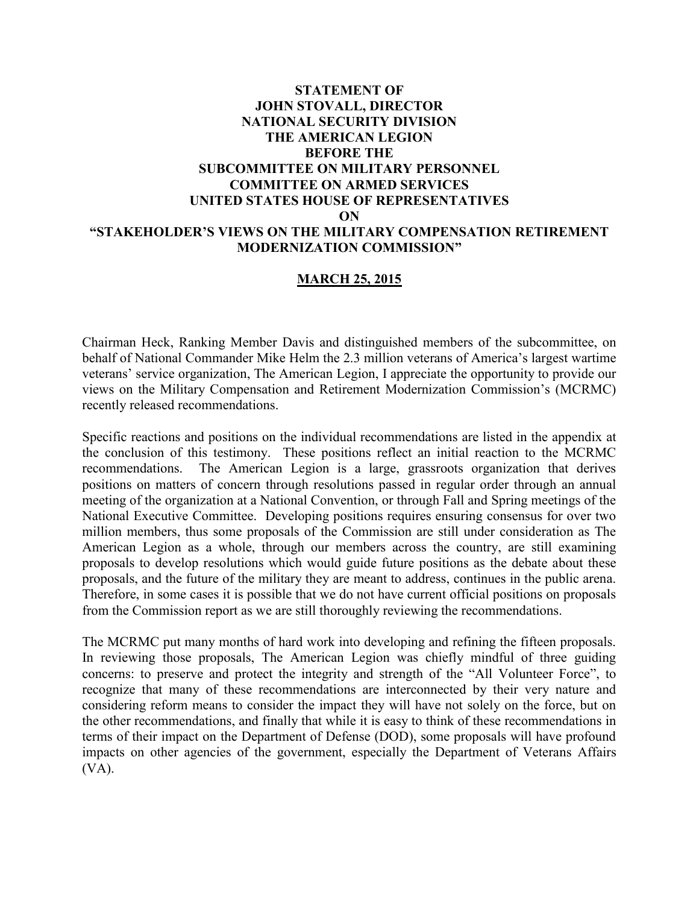# **STATEMENT OF JOHN STOVALL, DIRECTOR NATIONAL SECURITY DIVISION THE AMERICAN LEGION BEFORE THE SUBCOMMITTEE ON MILITARY PERSONNEL COMMITTEE ON ARMED SERVICES UNITED STATES HOUSE OF REPRESENTATIVES ON "STAKEHOLDER'S VIEWS ON THE MILITARY COMPENSATION RETIREMENT MODERNIZATION COMMISSION"**

## **MARCH 25, 2015**

Chairman Heck, Ranking Member Davis and distinguished members of the subcommittee, on behalf of National Commander Mike Helm the 2.3 million veterans of America's largest wartime veterans' service organization, The American Legion, I appreciate the opportunity to provide our views on the Military Compensation and Retirement Modernization Commission's (MCRMC) recently released recommendations.

Specific reactions and positions on the individual recommendations are listed in the appendix at the conclusion of this testimony. These positions reflect an initial reaction to the MCRMC recommendations. The American Legion is a large, grassroots organization that derives positions on matters of concern through resolutions passed in regular order through an annual meeting of the organization at a National Convention, or through Fall and Spring meetings of the National Executive Committee. Developing positions requires ensuring consensus for over two million members, thus some proposals of the Commission are still under consideration as The American Legion as a whole, through our members across the country, are still examining proposals to develop resolutions which would guide future positions as the debate about these proposals, and the future of the military they are meant to address, continues in the public arena. Therefore, in some cases it is possible that we do not have current official positions on proposals from the Commission report as we are still thoroughly reviewing the recommendations.

The MCRMC put many months of hard work into developing and refining the fifteen proposals. In reviewing those proposals, The American Legion was chiefly mindful of three guiding concerns: to preserve and protect the integrity and strength of the "All Volunteer Force", to recognize that many of these recommendations are interconnected by their very nature and considering reform means to consider the impact they will have not solely on the force, but on the other recommendations, and finally that while it is easy to think of these recommendations in terms of their impact on the Department of Defense (DOD), some proposals will have profound impacts on other agencies of the government, especially the Department of Veterans Affairs (VA).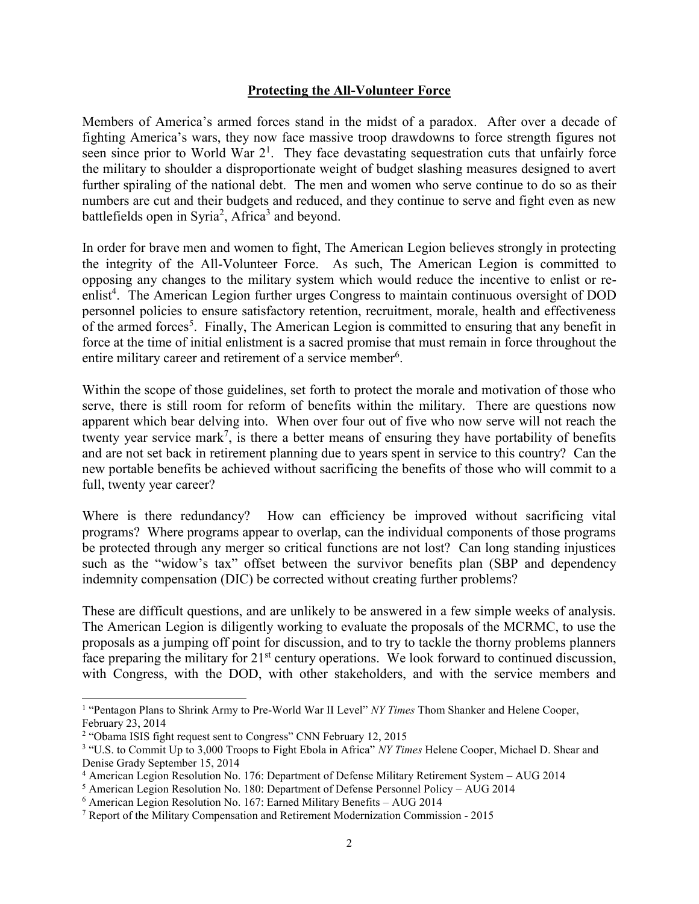#### **Protecting the All-Volunteer Force**

Members of America's armed forces stand in the midst of a paradox. After over a decade of fighting America's wars, they now face massive troop drawdowns to force strength figures not seen since prior to World War  $2<sup>1</sup>$ . They face devastating sequestration cuts that unfairly force the military to shoulder a disproportionate weight of budget slashing measures designed to avert further spiraling of the national debt. The men and women who serve continue to do so as their numbers are cut and their budgets and reduced, and they continue to serve and fight even as new battlefields open in Syria<sup>2</sup>, Africa<sup>3</sup> and beyond.

In order for brave men and women to fight, The American Legion believes strongly in protecting the integrity of the All-Volunteer Force. As such, The American Legion is committed to opposing any changes to the military system which would reduce the incentive to enlist or reenlist<sup>4</sup>. The American Legion further urges Congress to maintain continuous oversight of DOD personnel policies to ensure satisfactory retention, recruitment, morale, health and effectiveness of the armed forces<sup>5</sup>. Finally, The American Legion is committed to ensuring that any benefit in force at the time of initial enlistment is a sacred promise that must remain in force throughout the entire military career and retirement of a service member<sup>6</sup>.

Within the scope of those guidelines, set forth to protect the morale and motivation of those who serve, there is still room for reform of benefits within the military. There are questions now apparent which bear delving into. When over four out of five who now serve will not reach the twenty year service mark<sup>7</sup>, is there a better means of ensuring they have portability of benefits and are not set back in retirement planning due to years spent in service to this country? Can the new portable benefits be achieved without sacrificing the benefits of those who will commit to a full, twenty year career?

Where is there redundancy? How can efficiency be improved without sacrificing vital programs? Where programs appear to overlap, can the individual components of those programs be protected through any merger so critical functions are not lost? Can long standing injustices such as the "widow's tax" offset between the survivor benefits plan (SBP and dependency indemnity compensation (DIC) be corrected without creating further problems?

These are difficult questions, and are unlikely to be answered in a few simple weeks of analysis. The American Legion is diligently working to evaluate the proposals of the MCRMC, to use the proposals as a jumping off point for discussion, and to try to tackle the thorny problems planners face preparing the military for 21<sup>st</sup> century operations. We look forward to continued discussion, with Congress, with the DOD, with other stakeholders, and with the service members and

 $\overline{a}$ 

<sup>&</sup>lt;sup>1</sup> "Pentagon Plans to Shrink Army to Pre-World War II Level" NY Times Thom Shanker and Helene Cooper, February 23, 2014

<sup>&</sup>lt;sup>2</sup> "Obama ISIS fight request sent to Congress" CNN February 12, 2015

<sup>&</sup>lt;sup>3</sup> "U.S. to Commit Up to 3,000 Troops to Fight Ebola in Africa" *NY Times* Helene Cooper, Michael D. Shear and Denise Grady September 15, 2014

<sup>4</sup> American Legion Resolution No. 176: Department of Defense Military Retirement System – AUG 2014

<sup>&</sup>lt;sup>5</sup> American Legion Resolution No. 180: Department of Defense Personnel Policy - AUG 2014

<sup>6</sup> American Legion Resolution No. 167: Earned Military Benefits – AUG 2014

<sup>&</sup>lt;sup>7</sup> Report of the Military Compensation and Retirement Modernization Commission - 2015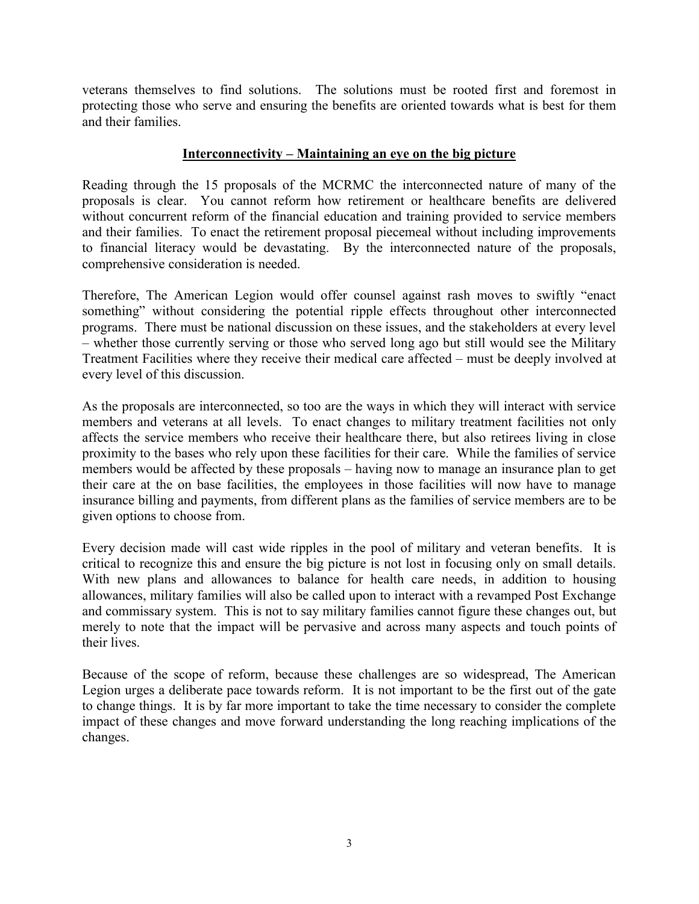veterans themselves to find solutions. The solutions must be rooted first and foremost in protecting those who serve and ensuring the benefits are oriented towards what is best for them and their families.

### **Interconnectivity – Maintaining an eye on the big picture**

Reading through the 15 proposals of the MCRMC the interconnected nature of many of the proposals is clear. You cannot reform how retirement or healthcare benefits are delivered without concurrent reform of the financial education and training provided to service members and their families. To enact the retirement proposal piecemeal without including improvements to financial literacy would be devastating. By the interconnected nature of the proposals, comprehensive consideration is needed.

Therefore, The American Legion would offer counsel against rash moves to swiftly "enact something" without considering the potential ripple effects throughout other interconnected programs. There must be national discussion on these issues, and the stakeholders at every level – whether those currently serving or those who served long ago but still would see the Military Treatment Facilities where they receive their medical care affected – must be deeply involved at every level of this discussion.

As the proposals are interconnected, so too are the ways in which they will interact with service members and veterans at all levels. To enact changes to military treatment facilities not only affects the service members who receive their healthcare there, but also retirees living in close proximity to the bases who rely upon these facilities for their care. While the families of service members would be affected by these proposals – having now to manage an insurance plan to get their care at the on base facilities, the employees in those facilities will now have to manage insurance billing and payments, from different plans as the families of service members are to be given options to choose from.

Every decision made will cast wide ripples in the pool of military and veteran benefits. It is critical to recognize this and ensure the big picture is not lost in focusing only on small details. With new plans and allowances to balance for health care needs, in addition to housing allowances, military families will also be called upon to interact with a revamped Post Exchange and commissary system. This is not to say military families cannot figure these changes out, but merely to note that the impact will be pervasive and across many aspects and touch points of their lives.

Because of the scope of reform, because these challenges are so widespread, The American Legion urges a deliberate pace towards reform. It is not important to be the first out of the gate to change things. It is by far more important to take the time necessary to consider the complete impact of these changes and move forward understanding the long reaching implications of the changes.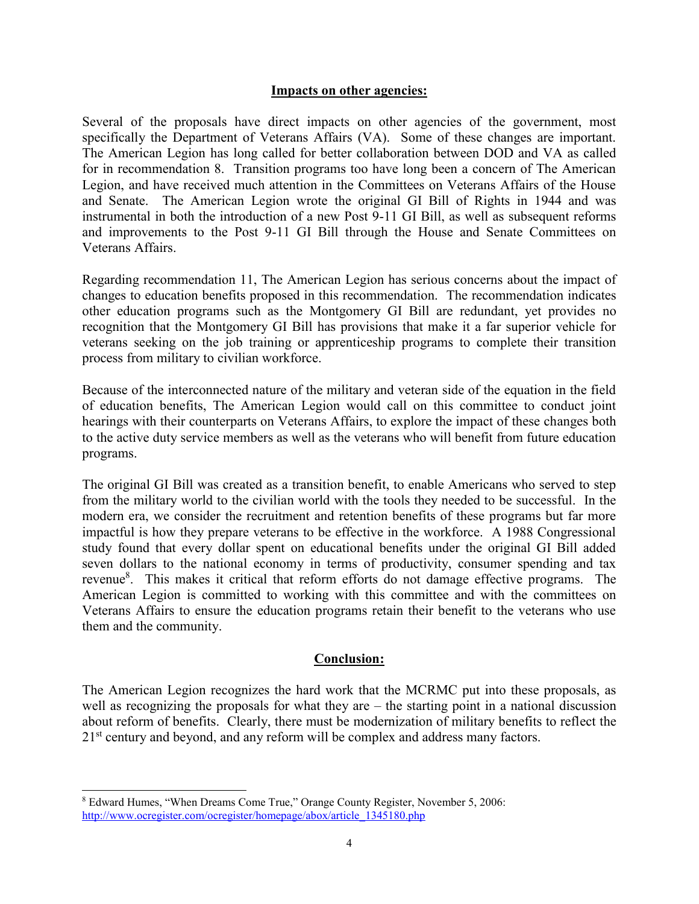#### **Impacts on other agencies:**

Several of the proposals have direct impacts on other agencies of the government, most specifically the Department of Veterans Affairs (VA). Some of these changes are important. The American Legion has long called for better collaboration between DOD and VA as called for in recommendation 8. Transition programs too have long been a concern of The American Legion, and have received much attention in the Committees on Veterans Affairs of the House and Senate. The American Legion wrote the original GI Bill of Rights in 1944 and was instrumental in both the introduction of a new Post 9-11 GI Bill, as well as subsequent reforms and improvements to the Post 9-11 GI Bill through the House and Senate Committees on Veterans Affairs.

Regarding recommendation 11, The American Legion has serious concerns about the impact of changes to education benefits proposed in this recommendation. The recommendation indicates other education programs such as the Montgomery GI Bill are redundant, yet provides no recognition that the Montgomery GI Bill has provisions that make it a far superior vehicle for veterans seeking on the job training or apprenticeship programs to complete their transition process from military to civilian workforce.

Because of the interconnected nature of the military and veteran side of the equation in the field of education benefits, The American Legion would call on this committee to conduct joint hearings with their counterparts on Veterans Affairs, to explore the impact of these changes both to the active duty service members as well as the veterans who will benefit from future education programs.

The original GI Bill was created as a transition benefit, to enable Americans who served to step from the military world to the civilian world with the tools they needed to be successful. In the modern era, we consider the recruitment and retention benefits of these programs but far more impactful is how they prepare veterans to be effective in the workforce. A 1988 Congressional study found that every dollar spent on educational benefits under the original GI Bill added seven dollars to the national economy in terms of productivity, consumer spending and tax revenue<sup>8</sup>. This makes it critical that reform efforts do not damage effective programs. The American Legion is committed to working with this committee and with the committees on Veterans Affairs to ensure the education programs retain their benefit to the veterans who use them and the community.

### **Conclusion:**

The American Legion recognizes the hard work that the MCRMC put into these proposals, as well as recognizing the proposals for what they are – the starting point in a national discussion about reform of benefits. Clearly, there must be modernization of military benefits to reflect the 21<sup>st</sup> century and beyond, and any reform will be complex and address many factors.

 $\overline{a}$ 

<sup>8</sup> Edward Humes, "When Dreams Come True," Orange County Register, November 5, 2006: [http://www.ocregister.com/ocregister/homepage/abox/article\\_1345180.php](http://www.ocregister.com/ocregister/homepage/abox/article_1345180.php)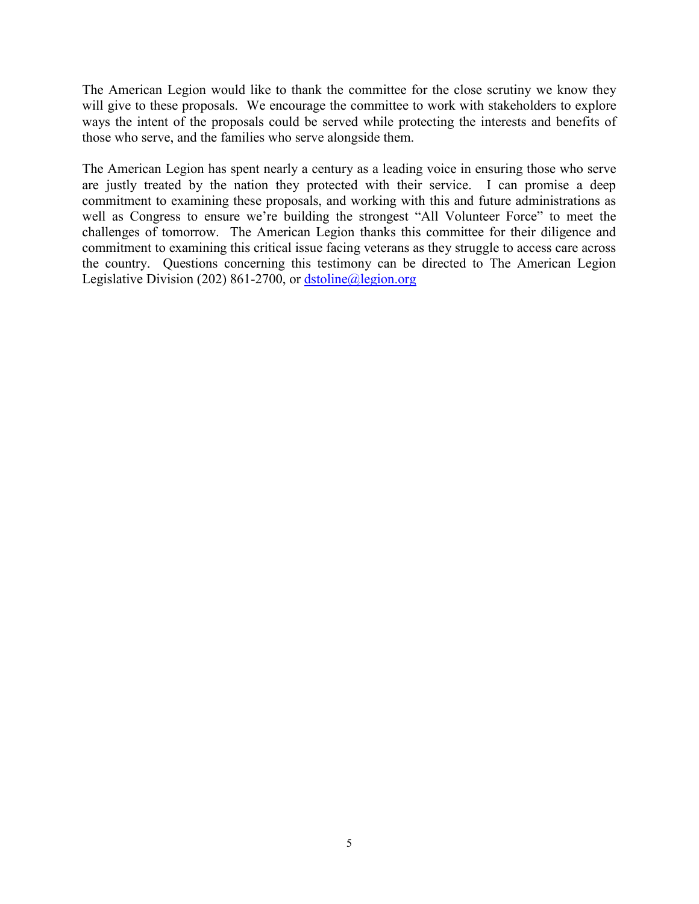The American Legion would like to thank the committee for the close scrutiny we know they will give to these proposals. We encourage the committee to work with stakeholders to explore ways the intent of the proposals could be served while protecting the interests and benefits of those who serve, and the families who serve alongside them.

The American Legion has spent nearly a century as a leading voice in ensuring those who serve are justly treated by the nation they protected with their service. I can promise a deep commitment to examining these proposals, and working with this and future administrations as well as Congress to ensure we're building the strongest "All Volunteer Force" to meet the challenges of tomorrow. The American Legion thanks this committee for their diligence and commitment to examining this critical issue facing veterans as they struggle to access care across the country. Questions concerning this testimony can be directed to The American Legion Legislative Division (202) 861-2700, or dstoline@legion.org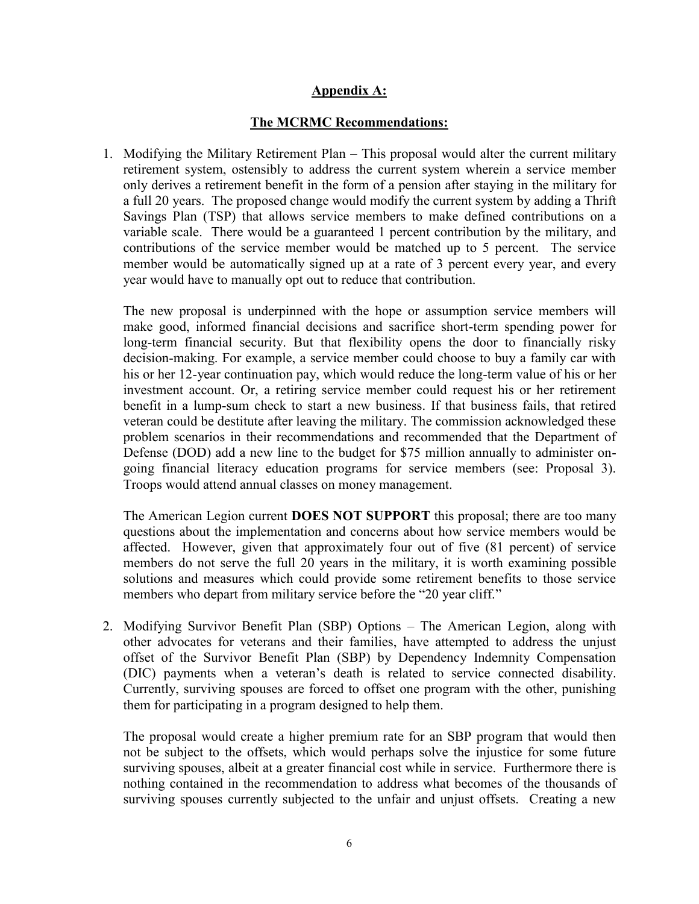## **Appendix A:**

## **The MCRMC Recommendations:**

1. Modifying the Military Retirement Plan – This proposal would alter the current military retirement system, ostensibly to address the current system wherein a service member only derives a retirement benefit in the form of a pension after staying in the military for a full 20 years. The proposed change would modify the current system by adding a Thrift Savings Plan (TSP) that allows service members to make defined contributions on a variable scale. There would be a guaranteed 1 percent contribution by the military, and contributions of the service member would be matched up to 5 percent. The service member would be automatically signed up at a rate of 3 percent every year, and every year would have to manually opt out to reduce that contribution.

The new proposal is underpinned with the hope or assumption service members will make good, informed financial decisions and sacrifice short-term spending power for long-term financial security. But that flexibility opens the door to financially risky decision-making. For example, a service member could choose to buy a family car with his or her 12-year continuation pay, which would reduce the long-term value of his or her investment account. Or, a retiring service member could request his or her retirement benefit in a lump-sum check to start a new business. If that business fails, that retired veteran could be destitute after leaving the military. The commission acknowledged these problem scenarios in their recommendations and recommended that the Department of Defense (DOD) add a new line to the budget for \$75 million annually to administer ongoing financial literacy education programs for service members (see: Proposal 3). Troops would attend annual classes on money management.

The American Legion current **DOES NOT SUPPORT** this proposal; there are too many questions about the implementation and concerns about how service members would be affected. However, given that approximately four out of five (81 percent) of service members do not serve the full 20 years in the military, it is worth examining possible solutions and measures which could provide some retirement benefits to those service members who depart from military service before the "20 year cliff."

2. Modifying Survivor Benefit Plan (SBP) Options – The American Legion, along with other advocates for veterans and their families, have attempted to address the unjust offset of the Survivor Benefit Plan (SBP) by Dependency Indemnity Compensation (DIC) payments when a veteran's death is related to service connected disability. Currently, surviving spouses are forced to offset one program with the other, punishing them for participating in a program designed to help them.

The proposal would create a higher premium rate for an SBP program that would then not be subject to the offsets, which would perhaps solve the injustice for some future surviving spouses, albeit at a greater financial cost while in service. Furthermore there is nothing contained in the recommendation to address what becomes of the thousands of surviving spouses currently subjected to the unfair and unjust offsets. Creating a new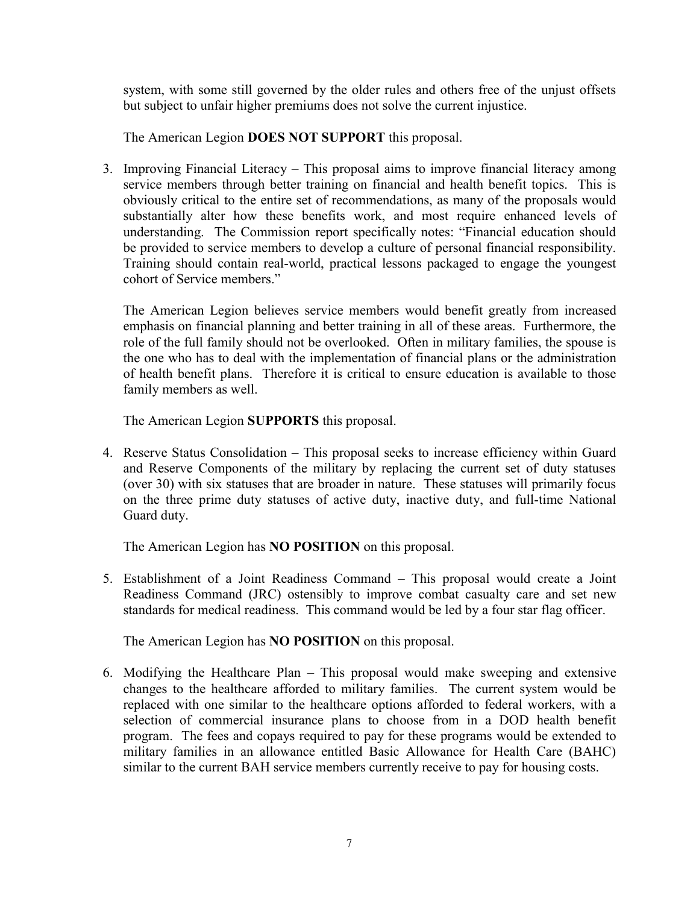system, with some still governed by the older rules and others free of the unjust offsets but subject to unfair higher premiums does not solve the current injustice.

The American Legion **DOES NOT SUPPORT** this proposal.

3. Improving Financial Literacy – This proposal aims to improve financial literacy among service members through better training on financial and health benefit topics. This is obviously critical to the entire set of recommendations, as many of the proposals would substantially alter how these benefits work, and most require enhanced levels of understanding. The Commission report specifically notes: "Financial education should be provided to service members to develop a culture of personal financial responsibility. Training should contain real-world, practical lessons packaged to engage the youngest cohort of Service members."

The American Legion believes service members would benefit greatly from increased emphasis on financial planning and better training in all of these areas. Furthermore, the role of the full family should not be overlooked. Often in military families, the spouse is the one who has to deal with the implementation of financial plans or the administration of health benefit plans. Therefore it is critical to ensure education is available to those family members as well.

The American Legion **SUPPORTS** this proposal.

4. Reserve Status Consolidation – This proposal seeks to increase efficiency within Guard and Reserve Components of the military by replacing the current set of duty statuses (over 30) with six statuses that are broader in nature. These statuses will primarily focus on the three prime duty statuses of active duty, inactive duty, and full-time National Guard duty.

The American Legion has **NO POSITION** on this proposal.

5. Establishment of a Joint Readiness Command – This proposal would create a Joint Readiness Command (JRC) ostensibly to improve combat casualty care and set new standards for medical readiness. This command would be led by a four star flag officer.

The American Legion has **NO POSITION** on this proposal.

6. Modifying the Healthcare Plan – This proposal would make sweeping and extensive changes to the healthcare afforded to military families. The current system would be replaced with one similar to the healthcare options afforded to federal workers, with a selection of commercial insurance plans to choose from in a DOD health benefit program. The fees and copays required to pay for these programs would be extended to military families in an allowance entitled Basic Allowance for Health Care (BAHC) similar to the current BAH service members currently receive to pay for housing costs.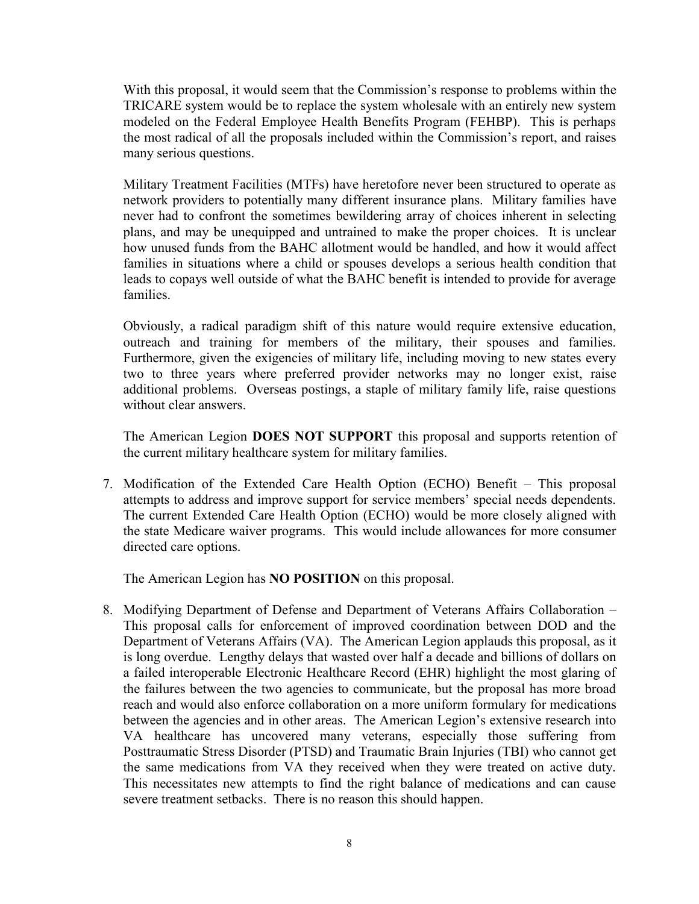With this proposal, it would seem that the Commission's response to problems within the TRICARE system would be to replace the system wholesale with an entirely new system modeled on the Federal Employee Health Benefits Program (FEHBP). This is perhaps the most radical of all the proposals included within the Commission's report, and raises many serious questions.

Military Treatment Facilities (MTFs) have heretofore never been structured to operate as network providers to potentially many different insurance plans. Military families have never had to confront the sometimes bewildering array of choices inherent in selecting plans, and may be unequipped and untrained to make the proper choices. It is unclear how unused funds from the BAHC allotment would be handled, and how it would affect families in situations where a child or spouses develops a serious health condition that leads to copays well outside of what the BAHC benefit is intended to provide for average families.

Obviously, a radical paradigm shift of this nature would require extensive education, outreach and training for members of the military, their spouses and families. Furthermore, given the exigencies of military life, including moving to new states every two to three years where preferred provider networks may no longer exist, raise additional problems. Overseas postings, a staple of military family life, raise questions without clear answers.

The American Legion **DOES NOT SUPPORT** this proposal and supports retention of the current military healthcare system for military families.

7. Modification of the Extended Care Health Option (ECHO) Benefit – This proposal attempts to address and improve support for service members' special needs dependents. The current Extended Care Health Option (ECHO) would be more closely aligned with the state Medicare waiver programs. This would include allowances for more consumer directed care options.

The American Legion has **NO POSITION** on this proposal.

8. Modifying Department of Defense and Department of Veterans Affairs Collaboration – This proposal calls for enforcement of improved coordination between DOD and the Department of Veterans Affairs (VA). The American Legion applauds this proposal, as it is long overdue. Lengthy delays that wasted over half a decade and billions of dollars on a failed interoperable Electronic Healthcare Record (EHR) highlight the most glaring of the failures between the two agencies to communicate, but the proposal has more broad reach and would also enforce collaboration on a more uniform formulary for medications between the agencies and in other areas. The American Legion's extensive research into VA healthcare has uncovered many veterans, especially those suffering from Posttraumatic Stress Disorder (PTSD) and Traumatic Brain Injuries (TBI) who cannot get the same medications from VA they received when they were treated on active duty. This necessitates new attempts to find the right balance of medications and can cause severe treatment setbacks. There is no reason this should happen.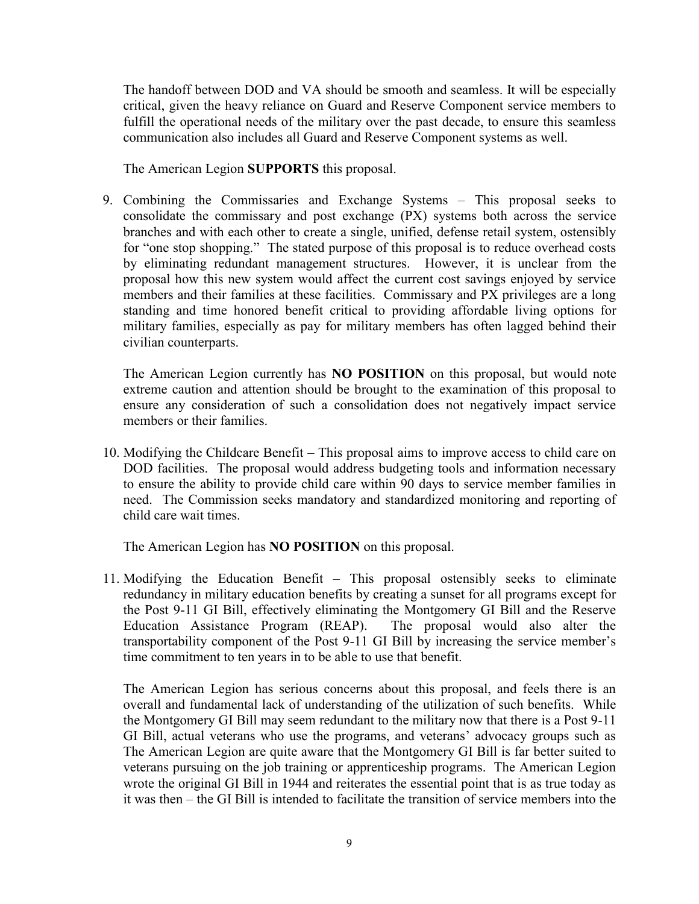The handoff between DOD and VA should be smooth and seamless. It will be especially critical, given the heavy reliance on Guard and Reserve Component service members to fulfill the operational needs of the military over the past decade, to ensure this seamless communication also includes all Guard and Reserve Component systems as well.

The American Legion **SUPPORTS** this proposal.

9. Combining the Commissaries and Exchange Systems – This proposal seeks to consolidate the commissary and post exchange (PX) systems both across the service branches and with each other to create a single, unified, defense retail system, ostensibly for "one stop shopping." The stated purpose of this proposal is to reduce overhead costs by eliminating redundant management structures. However, it is unclear from the proposal how this new system would affect the current cost savings enjoyed by service members and their families at these facilities. Commissary and PX privileges are a long standing and time honored benefit critical to providing affordable living options for military families, especially as pay for military members has often lagged behind their civilian counterparts.

The American Legion currently has **NO POSITION** on this proposal, but would note extreme caution and attention should be brought to the examination of this proposal to ensure any consideration of such a consolidation does not negatively impact service members or their families.

10. Modifying the Childcare Benefit – This proposal aims to improve access to child care on DOD facilities. The proposal would address budgeting tools and information necessary to ensure the ability to provide child care within 90 days to service member families in need. The Commission seeks mandatory and standardized monitoring and reporting of child care wait times.

The American Legion has **NO POSITION** on this proposal.

11. Modifying the Education Benefit – This proposal ostensibly seeks to eliminate redundancy in military education benefits by creating a sunset for all programs except for the Post 9-11 GI Bill, effectively eliminating the Montgomery GI Bill and the Reserve Education Assistance Program (REAP). The proposal would also alter the transportability component of the Post 9-11 GI Bill by increasing the service member's time commitment to ten years in to be able to use that benefit.

The American Legion has serious concerns about this proposal, and feels there is an overall and fundamental lack of understanding of the utilization of such benefits. While the Montgomery GI Bill may seem redundant to the military now that there is a Post 9-11 GI Bill, actual veterans who use the programs, and veterans' advocacy groups such as The American Legion are quite aware that the Montgomery GI Bill is far better suited to veterans pursuing on the job training or apprenticeship programs. The American Legion wrote the original GI Bill in 1944 and reiterates the essential point that is as true today as it was then – the GI Bill is intended to facilitate the transition of service members into the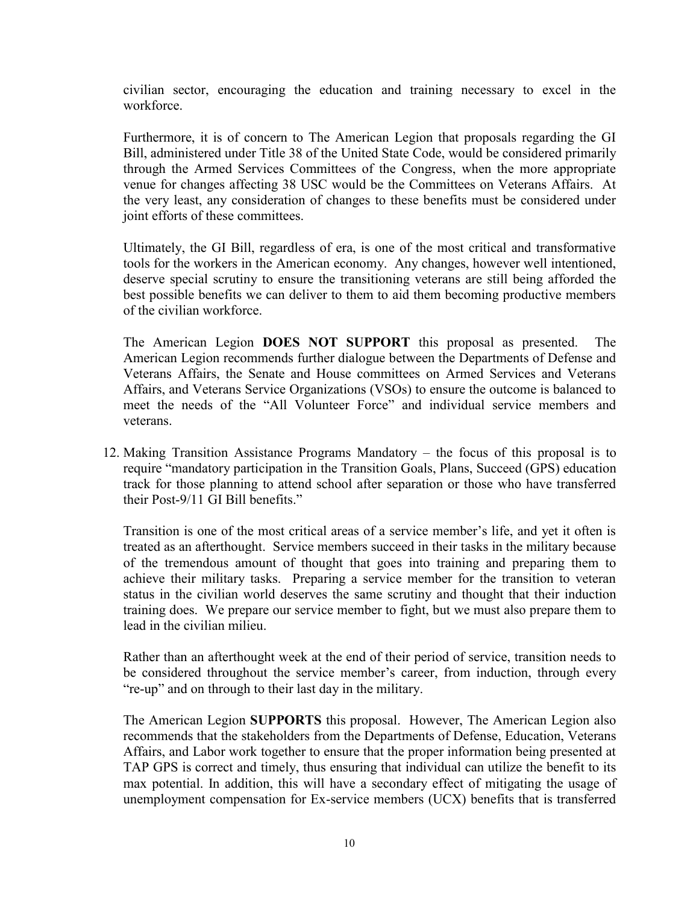civilian sector, encouraging the education and training necessary to excel in the workforce.

Furthermore, it is of concern to The American Legion that proposals regarding the GI Bill, administered under Title 38 of the United State Code, would be considered primarily through the Armed Services Committees of the Congress, when the more appropriate venue for changes affecting 38 USC would be the Committees on Veterans Affairs. At the very least, any consideration of changes to these benefits must be considered under joint efforts of these committees.

Ultimately, the GI Bill, regardless of era, is one of the most critical and transformative tools for the workers in the American economy. Any changes, however well intentioned, deserve special scrutiny to ensure the transitioning veterans are still being afforded the best possible benefits we can deliver to them to aid them becoming productive members of the civilian workforce.

The American Legion **DOES NOT SUPPORT** this proposal as presented. The American Legion recommends further dialogue between the Departments of Defense and Veterans Affairs, the Senate and House committees on Armed Services and Veterans Affairs, and Veterans Service Organizations (VSOs) to ensure the outcome is balanced to meet the needs of the "All Volunteer Force" and individual service members and veterans.

12. Making Transition Assistance Programs Mandatory – the focus of this proposal is to require "mandatory participation in the Transition Goals, Plans, Succeed (GPS) education track for those planning to attend school after separation or those who have transferred their Post-9/11 GI Bill benefits."

Transition is one of the most critical areas of a service member's life, and yet it often is treated as an afterthought. Service members succeed in their tasks in the military because of the tremendous amount of thought that goes into training and preparing them to achieve their military tasks. Preparing a service member for the transition to veteran status in the civilian world deserves the same scrutiny and thought that their induction training does. We prepare our service member to fight, but we must also prepare them to lead in the civilian milieu.

Rather than an afterthought week at the end of their period of service, transition needs to be considered throughout the service member's career, from induction, through every "re-up" and on through to their last day in the military.

The American Legion **SUPPORTS** this proposal. However, The American Legion also recommends that the stakeholders from the Departments of Defense, Education, Veterans Affairs, and Labor work together to ensure that the proper information being presented at TAP GPS is correct and timely, thus ensuring that individual can utilize the benefit to its max potential. In addition, this will have a secondary effect of mitigating the usage of unemployment compensation for Ex-service members (UCX) benefits that is transferred